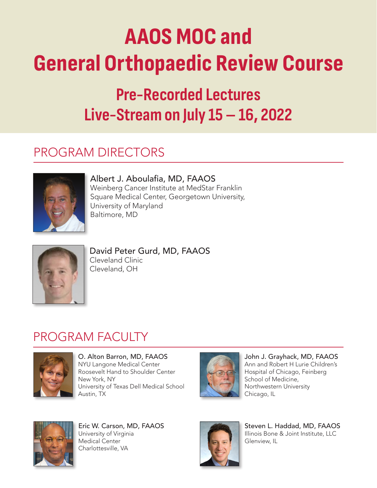# **AAOS MOC and General Orthopaedic Review Course**

## Live-Stream on July 15 – 16, 2022 **Pre-Recorded Lectures**

Course Directors

#### **PROGRAM DIRECTORS**



Albert J. Aboulafia, MD, FAAOS Weinberg Cancer Institute at MedStar Franklin Square Medical Center, Georgetown University, University of Maryland Baltimore, MD



David Peter Gurd, MD, FAAOS Cleveland Clinic Cleveland, OH

### PROGRAM FACULTY



**O.** Alton Barron, MD, FAAOS NYU Langone Medical Center Roosevelt Hand to Shoulder Center<br>
New York, NY<br>
School of Medicin New York, NY University of Texas Dell Medical School Austin, TX



John J. Grayhack, MD, FAAOS Ann and Robert H Lurie Children's Hospital of Chicago, Feinberg School of Medicine, Northwestern University Chicago, IL



Eric W. Carson, MD, FAAOS University of Virginia Medical Center Charlottesville, VA



Steven L. Haddad, MD, FAAOS Illinois Bone & Joint Institute, LLC Glenview, IL